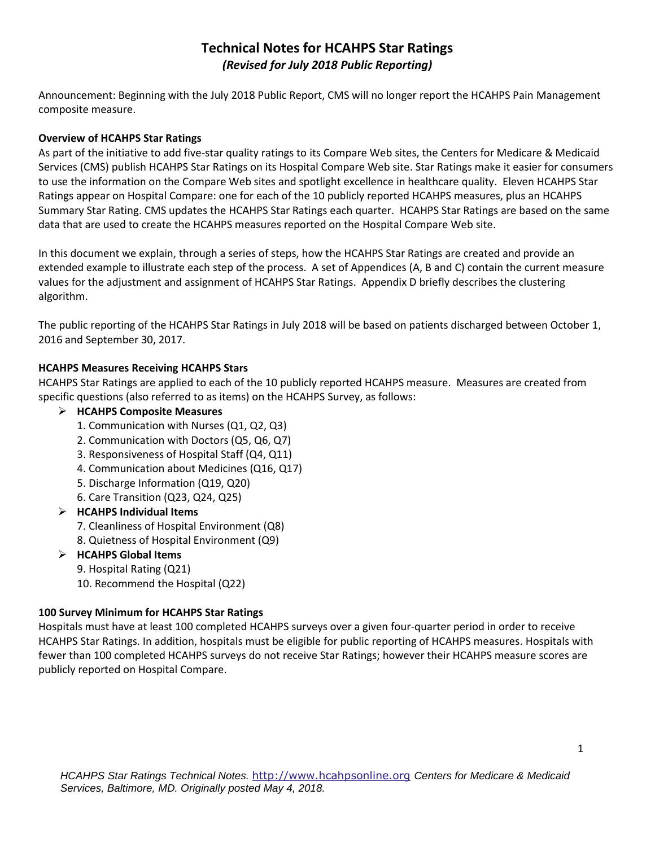# **Technical Notes for HCAHPS Star Ratings**  *(Revised for July 2018 Public Reporting)*

Announcement: Beginning with the July 2018 Public Report, CMS will no longer report the HCAHPS Pain Management composite measure.

## **Overview of HCAHPS Star Ratings**

As part of the initiative to add five-star quality ratings to its Compare Web sites, the Centers for Medicare & Medicaid Services (CMS) publish HCAHPS Star Ratings on its Hospital Compare Web site. Star Ratings make it easier for consumers to use the information on the Compare Web sites and spotlight excellence in healthcare quality. Eleven HCAHPS Star Ratings appear on Hospital Compare: one for each of the 10 publicly reported HCAHPS measures, plus an HCAHPS Summary Star Rating. CMS updates the HCAHPS Star Ratings each quarter. HCAHPS Star Ratings are based on the same data that are used to create the HCAHPS measures reported on the Hospital Compare Web site.

In this document we explain, through a series of steps, how the HCAHPS Star Ratings are created and provide an extended example to illustrate each step of the process. A set of Appendices (A, B and C) contain the current measure values for the adjustment and assignment of HCAHPS Star Ratings. Appendix D briefly describes the clustering algorithm.

The public reporting of the HCAHPS Star Ratings in July 2018 will be based on patients discharged between October 1, 2016 and September 30, 2017.

## **HCAHPS Measures Receiving HCAHPS Stars**

HCAHPS Star Ratings are applied to each of the 10 publicly reported HCAHPS measure. Measures are created from specific questions (also referred to as items) on the HCAHPS Survey, as follows:

## **HCAHPS Composite Measures**

- 1. Communication with Nurses (Q1, Q2, Q3)
- 2. Communication with Doctors (Q5, Q6, Q7)
- 3. Responsiveness of Hospital Staff (Q4, Q11)
- 4. Communication about Medicines (Q16, Q17)
- 5. Discharge Information (Q19, Q20)
- 6. Care Transition (Q23, Q24, Q25)
- **HCAHPS Individual Items**
	- 7. Cleanliness of Hospital Environment (Q8)
	- 8. Quietness of Hospital Environment (Q9)

### **HCAHPS Global Items**

- 9. Hospital Rating (Q21)
- 10. Recommend the Hospital (Q22)

### **100 Survey Minimum for HCAHPS Star Ratings**

Hospitals must have at least 100 completed HCAHPS surveys over a given four-quarter period in order to receive HCAHPS Star Ratings. In addition, hospitals must be eligible for public reporting of HCAHPS measures. Hospitals with fewer than 100 completed HCAHPS surveys do not receive Star Ratings; however their HCAHPS measure scores are publicly reported on Hospital Compare.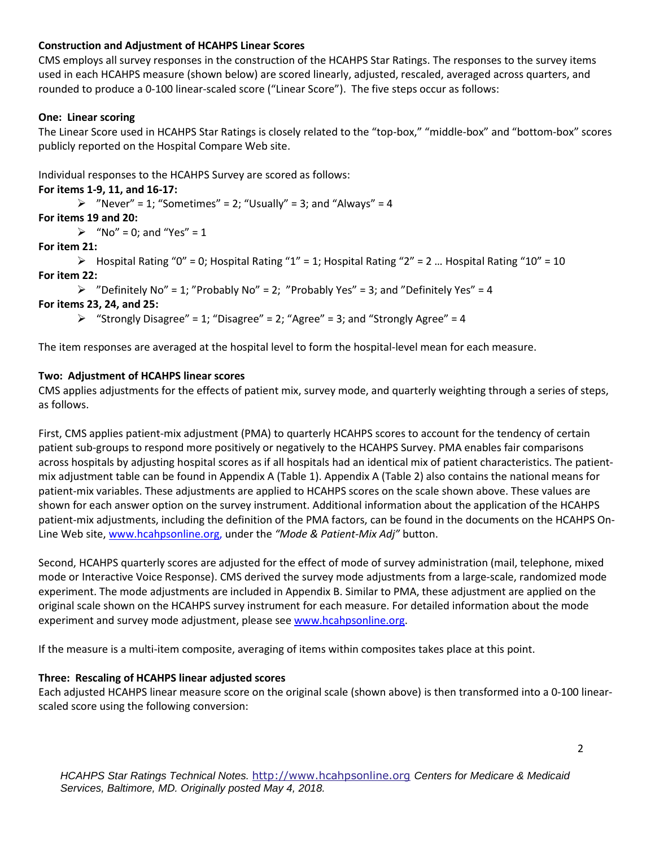## **Construction and Adjustment of HCAHPS Linear Scores**

CMS employs all survey responses in the construction of the HCAHPS Star Ratings. The responses to the survey items used in each HCAHPS measure (shown below) are scored linearly, adjusted, rescaled, averaged across quarters, and rounded to produce a 0-100 linear-scaled score ("Linear Score"). The five steps occur as follows:

## **One: Linear scoring**

The Linear Score used in HCAHPS Star Ratings is closely related to the "top-box," "middle-box" and "bottom-box" scores publicly reported on the Hospital Compare Web site.

Individual responses to the HCAHPS Survey are scored as follows:

### **For items 1-9, 11, and 16-17:**

 $\triangleright$  "Never" = 1; "Sometimes" = 2; "Usually" = 3; and "Always" = 4

## **For items 19 and 20:**

 $\triangleright$  "No" = 0; and "Yes" = 1

## **For item 21:**

 $\triangleright$  Hospital Rating "0" = 0; Hospital Rating "1" = 1; Hospital Rating "2" = 2 ... Hospital Rating "10" = 10 **For item 22:** 

 $\triangleright$  "Definitely No" = 1; "Probably No" = 2; "Probably Yes" = 3; and "Definitely Yes" = 4

## **For items 23, 24, and 25:**

 $\triangleright$  "Strongly Disagree" = 1; "Disagree" = 2; "Agree" = 3; and "Strongly Agree" = 4

The item responses are averaged at the hospital level to form the hospital-level mean for each measure.

## **Two: Adjustment of HCAHPS linear scores**

CMS applies adjustments for the effects of patient mix, survey mode, and quarterly weighting through a series of steps, as follows.

First, CMS applies patient-mix adjustment (PMA) to quarterly HCAHPS scores to account for the tendency of certain patient sub-groups to respond more positively or negatively to the HCAHPS Survey. PMA enables fair comparisons across hospitals by adjusting hospital scores as if all hospitals had an identical mix of patient characteristics. The patientmix adjustment table can be found in Appendix A (Table 1). Appendix A (Table 2) also contains the national means for patient-mix variables. These adjustments are applied to HCAHPS scores on the scale shown above. These values are shown for each answer option on the survey instrument. Additional information about the application of the HCAHPS patient-mix adjustments, including the definition of the PMA factors, can be found in the documents on the HCAHPS On-Line Web site[, www.hcahpsonline.org,](http://www.hcahpsonline.org/) under the *"Mode & Patient-Mix Adj"* button.

Second, HCAHPS quarterly scores are adjusted for the effect of mode of survey administration (mail, telephone, mixed mode or Interactive Voice Response). CMS derived the survey mode adjustments from a large-scale, randomized mode experiment. The mode adjustments are included in Appendix B. Similar to PMA, these adjustment are applied on the original scale shown on the HCAHPS survey instrument for each measure. For detailed information about the mode experiment and survey mode adjustment, please see [www.hcahpsonline.org.](http://www.hcahpsonline.org/)

If the measure is a multi-item composite, averaging of items within composites takes place at this point.

### **Three: Rescaling of HCAHPS linear adjusted scores**

Each adjusted HCAHPS linear measure score on the original scale (shown above) is then transformed into a 0-100 linearscaled score using the following conversion: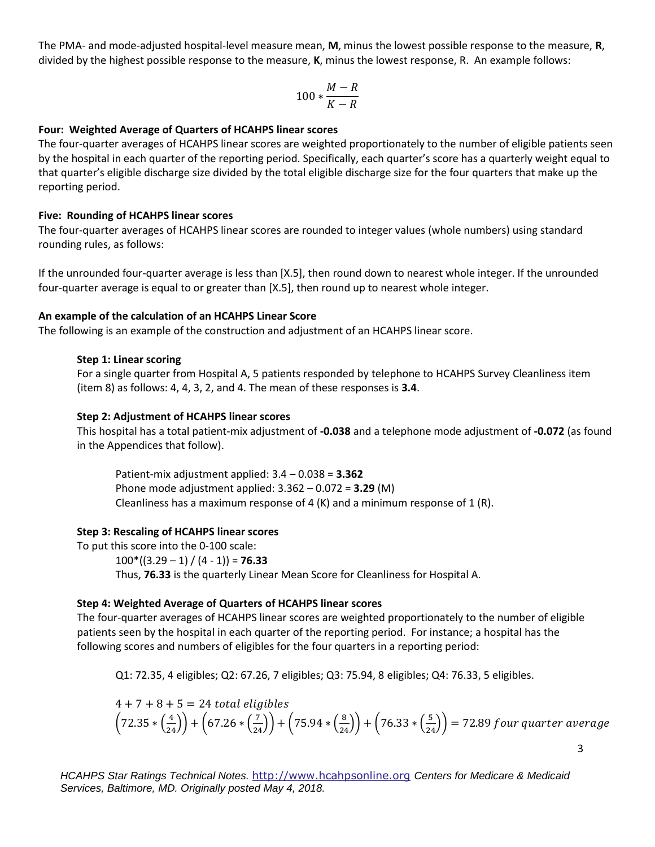The PMA- and mode-adjusted hospital-level measure mean, **M**, minus the lowest possible response to the measure, **R**, divided by the highest possible response to the measure, **K**, minus the lowest response, R. An example follows:

$$
100*\frac{M-R}{K-R}
$$

#### **Four: Weighted Average of Quarters of HCAHPS linear scores**

The four-quarter averages of HCAHPS linear scores are weighted proportionately to the number of eligible patients seen by the hospital in each quarter of the reporting period. Specifically, each quarter's score has a quarterly weight equal to that quarter's eligible discharge size divided by the total eligible discharge size for the four quarters that make up the reporting period.

#### **Five: Rounding of HCAHPS linear scores**

The four-quarter averages of HCAHPS linear scores are rounded to integer values (whole numbers) using standard rounding rules, as follows:

If the unrounded four-quarter average is less than [X.5], then round down to nearest whole integer. If the unrounded four-quarter average is equal to or greater than [X.5], then round up to nearest whole integer.

#### **An example of the calculation of an HCAHPS Linear Score**

The following is an example of the construction and adjustment of an HCAHPS linear score.

#### **Step 1: Linear scoring**

For a single quarter from Hospital A, 5 patients responded by telephone to HCAHPS Survey Cleanliness item (item 8) as follows: 4, 4, 3, 2, and 4. The mean of these responses is **3.4**.

#### **Step 2: Adjustment of HCAHPS linear scores**

This hospital has a total patient-mix adjustment of **-0.038** and a telephone mode adjustment of **-0.072** (as found in the Appendices that follow).

Patient-mix adjustment applied: 3.4 – 0.038 = **3.362**  Phone mode adjustment applied: 3.362 – 0.072 = **3.29** (M) Cleanliness has a maximum response of 4  $(K)$  and a minimum response of 1  $(R)$ .

### **Step 3: Rescaling of HCAHPS linear scores**

To put this score into the 0-100 scale:  $100*(3.29 - 1) / (4 - 1) = 76.33$ Thus, **76.33** is the quarterly Linear Mean Score for Cleanliness for Hospital A.

### **Step 4: Weighted Average of Quarters of HCAHPS linear scores**

The four-quarter averages of HCAHPS linear scores are weighted proportionately to the number of eligible patients seen by the hospital in each quarter of the reporting period. For instance; a hospital has the following scores and numbers of eligibles for the four quarters in a reporting period:

Q1: 72.35, 4 eligibles; Q2: 67.26, 7 eligibles; Q3: 75.94, 8 eligibles; Q4: 76.33, 5 eligibles.

$$
4 + 7 + 8 + 5 = 24
$$
 total eligibles  
\n $\left(72.35 * \left(\frac{4}{24}\right)\right) + \left(67.26 * \left(\frac{7}{24}\right)\right) + \left(75.94 * \left(\frac{8}{24}\right)\right) + \left(76.33 * \left(\frac{5}{24}\right)\right) = 72.89$  four quarter average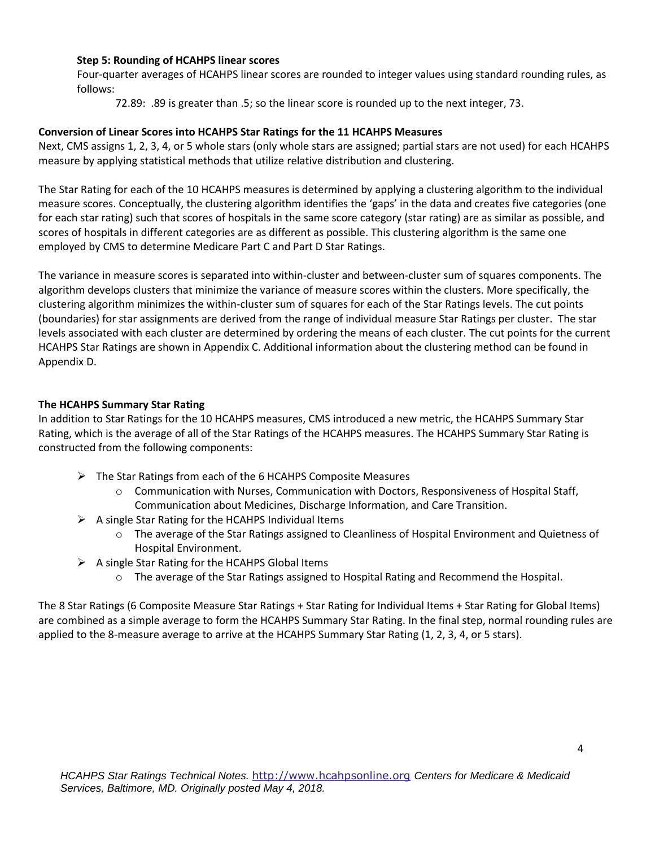### **Step 5: Rounding of HCAHPS linear scores**

Four-quarter averages of HCAHPS linear scores are rounded to integer values using standard rounding rules, as follows:

72.89: .89 is greater than .5; so the linear score is rounded up to the next integer, 73.

## **Conversion of Linear Scores into HCAHPS Star Ratings for the 11 HCAHPS Measures**

Next, CMS assigns 1, 2, 3, 4, or 5 whole stars (only whole stars are assigned; partial stars are not used) for each HCAHPS measure by applying statistical methods that utilize relative distribution and clustering.

The Star Rating for each of the 10 HCAHPS measures is determined by applying a clustering algorithm to the individual measure scores. Conceptually, the clustering algorithm identifies the 'gaps' in the data and creates five categories (one for each star rating) such that scores of hospitals in the same score category (star rating) are as similar as possible, and scores of hospitals in different categories are as different as possible. This clustering algorithm is the same one employed by CMS to determine Medicare Part C and Part D Star Ratings.

The variance in measure scores is separated into within-cluster and between-cluster sum of squares components. The algorithm develops clusters that minimize the variance of measure scores within the clusters. More specifically, the clustering algorithm minimizes the within-cluster sum of squares for each of the Star Ratings levels. The cut points (boundaries) for star assignments are derived from the range of individual measure Star Ratings per cluster. The star levels associated with each cluster are determined by ordering the means of each cluster. The cut points for the current HCAHPS Star Ratings are shown in Appendix C. Additional information about the clustering method can be found in Appendix D.

### **The HCAHPS Summary Star Rating**

In addition to Star Ratings for the 10 HCAHPS measures, CMS introduced a new metric, the HCAHPS Summary Star Rating, which is the average of all of the Star Ratings of the HCAHPS measures. The HCAHPS Summary Star Rating is constructed from the following components:

- $\triangleright$  The Star Ratings from each of the 6 HCAHPS Composite Measures
	- $\circ$  Communication with Nurses, Communication with Doctors, Responsiveness of Hospital Staff, Communication about Medicines, Discharge Information, and Care Transition.
- $\triangleright$  A single Star Rating for the HCAHPS Individual Items
	- o The average of the Star Ratings assigned to Cleanliness of Hospital Environment and Quietness of Hospital Environment.
- $\triangleright$  A single Star Rating for the HCAHPS Global Items
	- o The average of the Star Ratings assigned to Hospital Rating and Recommend the Hospital.

The 8 Star Ratings (6 Composite Measure Star Ratings + Star Rating for Individual Items + Star Rating for Global Items) are combined as a simple average to form the HCAHPS Summary Star Rating. In the final step, normal rounding rules are applied to the 8-measure average to arrive at the HCAHPS Summary Star Rating (1, 2, 3, 4, or 5 stars).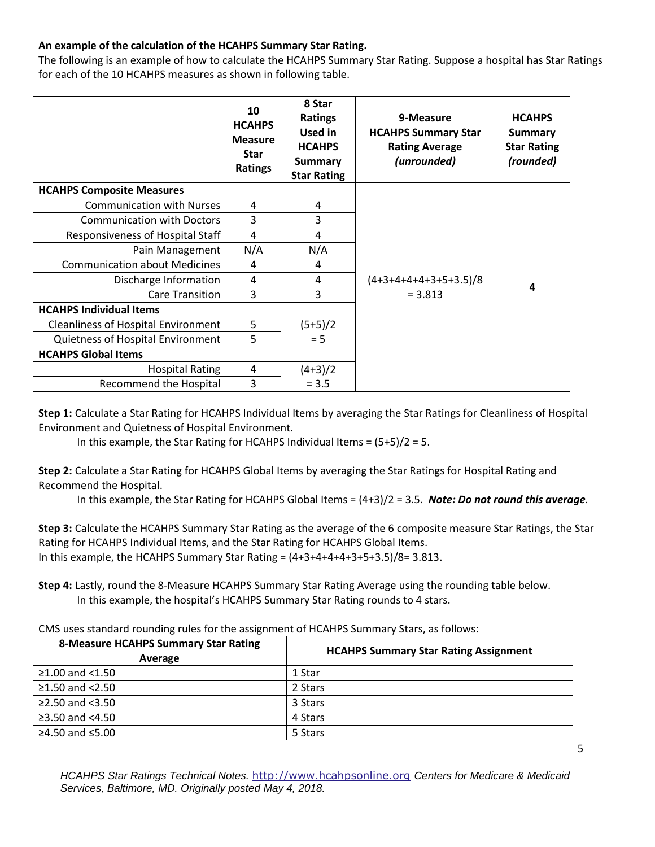# **An example of the calculation of the HCAHPS Summary Star Rating.**

The following is an example of how to calculate the HCAHPS Summary Star Rating. Suppose a hospital has Star Ratings for each of the 10 HCAHPS measures as shown in following table.

|                                            | 10<br><b>HCAHPS</b><br><b>Measure</b><br><b>Star</b><br>Ratings | 8 Star<br><b>Ratings</b><br>Used in<br><b>HCAHPS</b><br><b>Summary</b><br><b>Star Rating</b> | 9-Measure<br><b>HCAHPS Summary Star</b><br><b>Rating Average</b><br>(unrounded) | <b>HCAHPS</b><br><b>Summary</b><br><b>Star Rating</b><br>(rounded) |
|--------------------------------------------|-----------------------------------------------------------------|----------------------------------------------------------------------------------------------|---------------------------------------------------------------------------------|--------------------------------------------------------------------|
| <b>HCAHPS Composite Measures</b>           |                                                                 |                                                                                              |                                                                                 |                                                                    |
| <b>Communication with Nurses</b>           | 4                                                               | 4                                                                                            |                                                                                 |                                                                    |
| <b>Communication with Doctors</b>          | 3                                                               | 3                                                                                            |                                                                                 |                                                                    |
| Responsiveness of Hospital Staff           | 4                                                               | 4                                                                                            |                                                                                 |                                                                    |
| Pain Management                            | N/A                                                             | N/A                                                                                          |                                                                                 |                                                                    |
| <b>Communication about Medicines</b>       | 4                                                               | 4                                                                                            |                                                                                 |                                                                    |
| Discharge Information                      | 4                                                               | 4                                                                                            | $(4+3+4+4+4+3+5+3.5)/8$                                                         | 4                                                                  |
| <b>Care Transition</b>                     | 3                                                               | 3                                                                                            | $= 3.813$                                                                       |                                                                    |
| <b>HCAHPS Individual Items</b>             |                                                                 |                                                                                              |                                                                                 |                                                                    |
| <b>Cleanliness of Hospital Environment</b> | 5                                                               | $(5+5)/2$                                                                                    |                                                                                 |                                                                    |
| Quietness of Hospital Environment          | 5                                                               | $= 5$                                                                                        |                                                                                 |                                                                    |
| <b>HCAHPS Global Items</b>                 |                                                                 |                                                                                              |                                                                                 |                                                                    |
| <b>Hospital Rating</b>                     | 4                                                               | $(4+3)/2$                                                                                    |                                                                                 |                                                                    |
| Recommend the Hospital                     | 3                                                               | $= 3.5$                                                                                      |                                                                                 |                                                                    |

**Step 1:** Calculate a Star Rating for HCAHPS Individual Items by averaging the Star Ratings for Cleanliness of Hospital Environment and Quietness of Hospital Environment.

In this example, the Star Rating for HCAHPS Individual Items =  $(5+5)/2 = 5$ .

**Step 2:** Calculate a Star Rating for HCAHPS Global Items by averaging the Star Ratings for Hospital Rating and Recommend the Hospital.

In this example, the Star Rating for HCAHPS Global Items = (4+3)/2 = 3.5. *Note: Do not round this average.*

**Step 3:** Calculate the HCAHPS Summary Star Rating as the average of the 6 composite measure Star Ratings, the Star Rating for HCAHPS Individual Items, and the Star Rating for HCAHPS Global Items. In this example, the HCAHPS Summary Star Rating =  $(4+3+4+4+4+3+5+3.5)/8=3.813$ .

**Step 4:** Lastly, round the 8-Measure HCAHPS Summary Star Rating Average using the rounding table below. In this example, the hospital's HCAHPS Summary Star Rating rounds to 4 stars.

| CMS uses standard rounding rules for the assignment of HCAHPS Summary Stars, as follows: |  |
|------------------------------------------------------------------------------------------|--|
|------------------------------------------------------------------------------------------|--|

| <b>8-Measure HCAHPS Summary Star Rating</b><br>Average | <b>HCAHPS Summary Star Rating Assignment</b> |
|--------------------------------------------------------|----------------------------------------------|
| $≥1.00$ and <1.50                                      | 1 Star                                       |
| $≥1.50$ and $<2.50$                                    | 2 Stars                                      |
| $\geq$ 2.50 and <3.50                                  | 3 Stars                                      |
| $\geq$ 3.50 and <4.50                                  | 4 Stars                                      |
| ≥4.50 and $≤5.00$                                      | 5 Stars                                      |

*HCAHPS Star Ratings Technical Notes.* [http://www.hcahpsonline.org](http://www.hcahpsonline.org/) *Centers for Medicare & Medicaid Services, Baltimore, MD. Originally posted May 4, 2018.*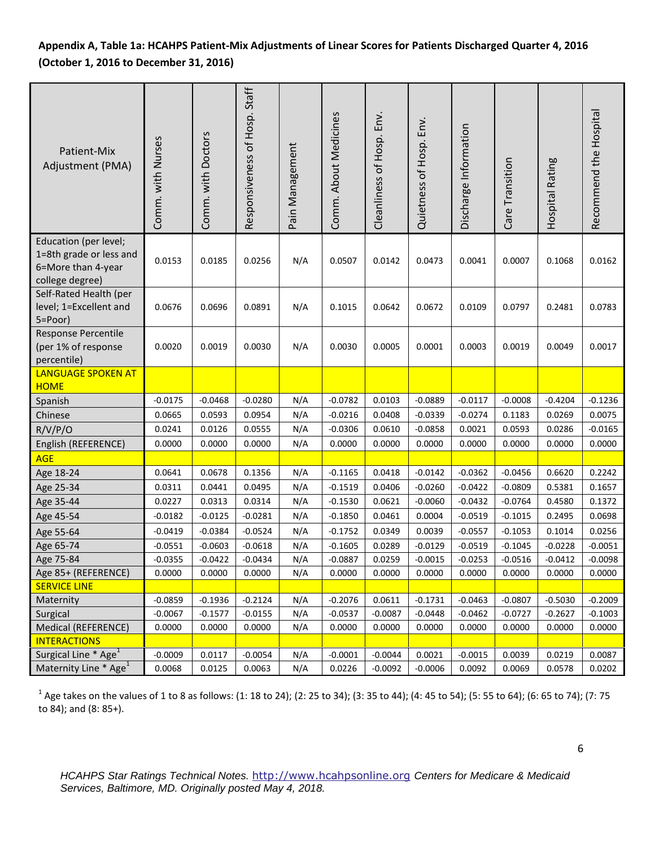# **Appendix A, Table 1a: HCAHPS Patient-Mix Adjustments of Linear Scores for Patients Discharged Quarter 4, 2016 (October 1, 2016 to December 31, 2016)**

| Patient-Mix<br>Adjustment (PMA)                                                           | Comm. with Nurses | Comm. with Doctors | Responsiveness of Hosp. Staff | Pain Management | Comm. About Medicines | Cleanliness of Hosp. Env. | Quietness of Hosp. Env. | Discharge Information | Care Transition | Hospital Rating | Recommend the Hospital |
|-------------------------------------------------------------------------------------------|-------------------|--------------------|-------------------------------|-----------------|-----------------------|---------------------------|-------------------------|-----------------------|-----------------|-----------------|------------------------|
| Education (per level;<br>1=8th grade or less and<br>6=More than 4-year<br>college degree) | 0.0153            | 0.0185             | 0.0256                        | N/A             | 0.0507                | 0.0142                    | 0.0473                  | 0.0041                | 0.0007          | 0.1068          | 0.0162                 |
| Self-Rated Health (per<br>level; 1=Excellent and<br>5=Poor)                               | 0.0676            | 0.0696             | 0.0891                        | N/A             | 0.1015                | 0.0642                    | 0.0672                  | 0.0109                | 0.0797          | 0.2481          | 0.0783                 |
| <b>Response Percentile</b><br>(per 1% of response<br>percentile)                          | 0.0020            | 0.0019             | 0.0030                        | N/A             | 0.0030                | 0.0005                    | 0.0001                  | 0.0003                | 0.0019          | 0.0049          | 0.0017                 |
| <b>LANGUAGE SPOKEN AT</b><br><b>HOME</b>                                                  |                   |                    |                               |                 |                       |                           |                         |                       |                 |                 |                        |
| Spanish                                                                                   | $-0.0175$         | $-0.0468$          | $-0.0280$                     | N/A             | $-0.0782$             | 0.0103                    | $-0.0889$               | $-0.0117$             | $-0.0008$       | $-0.4204$       | $-0.1236$              |
| Chinese                                                                                   | 0.0665            | 0.0593             | 0.0954                        | N/A             | $-0.0216$             | 0.0408                    | $-0.0339$               | $-0.0274$             | 0.1183          | 0.0269          | 0.0075                 |
| R/V/P/O                                                                                   | 0.0241            | 0.0126             | 0.0555                        | N/A             | $-0.0306$             | 0.0610                    | $-0.0858$               | 0.0021                | 0.0593          | 0.0286          | $-0.0165$              |
| English (REFERENCE)                                                                       | 0.0000            | 0.0000             | 0.0000                        | N/A             | 0.0000                | 0.0000                    | 0.0000                  | 0.0000                | 0.0000          | 0.0000          | 0.0000                 |
| <b>AGE</b>                                                                                |                   |                    |                               |                 |                       |                           |                         |                       |                 |                 |                        |
| Age 18-24                                                                                 | 0.0641            | 0.0678             | 0.1356                        | N/A             | $-0.1165$             | 0.0418                    | $-0.0142$               | $-0.0362$             | $-0.0456$       | 0.6620          | 0.2242                 |
| Age 25-34                                                                                 | 0.0311            | 0.0441             | 0.0495                        | N/A             | $-0.1519$             | 0.0406                    | $-0.0260$               | $-0.0422$             | $-0.0809$       | 0.5381          | 0.1657                 |
| Age 35-44                                                                                 | 0.0227            | 0.0313             | 0.0314                        | N/A             | $-0.1530$             | 0.0621                    | $-0.0060$               | $-0.0432$             | $-0.0764$       | 0.4580          | 0.1372                 |
| Age 45-54                                                                                 | $-0.0182$         | $-0.0125$          | $-0.0281$                     | N/A             | $-0.1850$             | 0.0461                    | 0.0004                  | $-0.0519$             | $-0.1015$       | 0.2495          | 0.0698                 |
| Age 55-64                                                                                 | $-0.0419$         | $-0.0384$          | $-0.0524$                     | N/A             | $-0.1752$             | 0.0349                    | 0.0039                  | $-0.0557$             | $-0.1053$       | 0.1014          | 0.0256                 |
| Age 65-74                                                                                 | $-0.0551$         | $-0.0603$          | $-0.0618$                     | N/A             | $-0.1605$             | 0.0289                    | $-0.0129$               | $-0.0519$             | $-0.1045$       | $-0.0228$       | $-0.0051$              |
| Age 75-84                                                                                 | $-0.0355$         | $-0.0422$          | $-0.0434$                     | N/A             | $-0.0887$             | 0.0259                    | $-0.0015$               | $-0.0253$             | $-0.0516$       | $-0.0412$       | $-0.0098$              |
| Age 85+ (REFERENCE)                                                                       | 0.0000            | 0.0000             | 0.0000                        | N/A             | 0.0000                | 0.0000                    | 0.0000                  | 0.0000                | 0.0000          | 0.0000          | 0.0000                 |
| <b>SERVICE LINE</b>                                                                       |                   |                    |                               |                 |                       |                           |                         |                       |                 |                 |                        |
| Maternity                                                                                 | $-0.0859$         | $-0.1936$          | $-0.2124$                     | N/A             | $-0.2076$             | 0.0611                    | $-0.1731$               | $-0.0463$             | $-0.0807$       | $-0.5030$       | $-0.2009$              |
| Surgical                                                                                  | $-0.0067$         | $-0.1577$          | $-0.0155$                     | N/A             | $-0.0537$             | $-0.0087$                 | $-0.0448$               | $-0.0462$             | $-0.0727$       | $-0.2627$       | $-0.1003$              |
| Medical (REFERENCE)                                                                       | 0.0000            | 0.0000             | 0.0000                        | N/A             | 0.0000                | 0.0000                    | 0.0000                  | 0.0000                | 0.0000          | 0.0000          | 0.0000                 |
| <b>INTERACTIONS</b>                                                                       |                   |                    |                               |                 |                       |                           |                         |                       |                 |                 |                        |
| Surgical Line * Age <sup>1</sup>                                                          | $-0.0009$         | 0.0117             | $-0.0054$                     | N/A             | $-0.0001$             | $-0.0044$                 | 0.0021                  | $-0.0015$             | 0.0039          | 0.0219          | 0.0087                 |
| Maternity Line * Age <sup>1</sup>                                                         | 0.0068            | 0.0125             | 0.0063                        | N/A             | 0.0226                | $-0.0092$                 | $-0.0006$               | 0.0092                | 0.0069          | 0.0578          | 0.0202                 |

 $^1$  Age takes on the values of 1 to 8 as follows: (1: 18 to 24); (2: 25 to 34); (3: 35 to 44); (4: 45 to 54); (5: 55 to 64); (6: 65 to 74); (7: 75 to 84); and (8: 85+).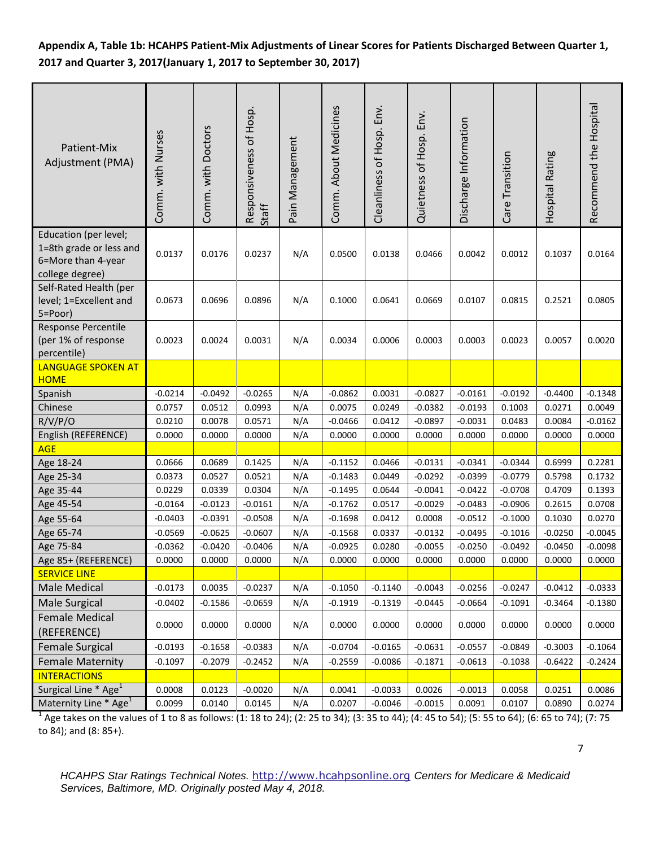# **Appendix A, Table 1b: HCAHPS Patient-Mix Adjustments of Linear Scores for Patients Discharged Between Quarter 1, 2017 and Quarter 3, 2017(January 1, 2017 to September 30, 2017)**

| Patient-Mix<br>Adjustment (PMA)                                                           | Comm. with Nurses | Comm. with Doctors | Responsiveness of Hosp.<br>Staff | Pain Management | Comm. About Medicines | Env.<br>Cleanliness of Hosp. | Quietness of Hosp. Env. | Discharge Information | Care Transition  | Hospital Rating  | Recommend the Hospital |
|-------------------------------------------------------------------------------------------|-------------------|--------------------|----------------------------------|-----------------|-----------------------|------------------------------|-------------------------|-----------------------|------------------|------------------|------------------------|
| Education (per level;<br>1=8th grade or less and<br>6=More than 4-year<br>college degree) | 0.0137            | 0.0176             | 0.0237                           | N/A             | 0.0500                | 0.0138                       | 0.0466                  | 0.0042                | 0.0012           | 0.1037           | 0.0164                 |
| Self-Rated Health (per<br>level; 1=Excellent and<br>5=Poor)                               | 0.0673            | 0.0696             | 0.0896                           | N/A             | 0.1000                | 0.0641                       | 0.0669                  | 0.0107                | 0.0815           | 0.2521           | 0.0805                 |
| Response Percentile<br>(per 1% of response<br>percentile)                                 | 0.0023            | 0.0024             | 0.0031                           | N/A             | 0.0034                | 0.0006                       | 0.0003                  | 0.0003                | 0.0023           | 0.0057           | 0.0020                 |
| <b>LANGUAGE SPOKEN AT</b>                                                                 |                   |                    |                                  |                 |                       |                              |                         |                       |                  |                  |                        |
| <b>HOME</b>                                                                               |                   |                    |                                  |                 |                       |                              |                         |                       |                  |                  |                        |
| Spanish                                                                                   | $-0.0214$         | $-0.0492$          | $-0.0265$                        | N/A             | $-0.0862$             | 0.0031                       | $-0.0827$               | $-0.0161$             | $-0.0192$        | $-0.4400$        | $-0.1348$              |
| Chinese                                                                                   | 0.0757            | 0.0512             | 0.0993                           | N/A             | 0.0075                | 0.0249                       | $-0.0382$               | $-0.0193$             | 0.1003           | 0.0271           | 0.0049<br>$-0.0162$    |
| R/V/P/O<br>English (REFERENCE)                                                            | 0.0210<br>0.0000  | 0.0078<br>0.0000   | 0.0571<br>0.0000                 | N/A<br>N/A      | $-0.0466$<br>0.0000   | 0.0412<br>0.0000             | $-0.0897$<br>0.0000     | $-0.0031$<br>0.0000   | 0.0483<br>0.0000 | 0.0084<br>0.0000 | 0.0000                 |
| <b>AGE</b>                                                                                |                   |                    |                                  |                 |                       |                              |                         |                       |                  |                  |                        |
| Age 18-24                                                                                 | 0.0666            | 0.0689             | 0.1425                           | N/A             | $-0.1152$             | 0.0466                       | $-0.0131$               | $-0.0341$             | $-0.0344$        | 0.6999           | 0.2281                 |
| Age 25-34                                                                                 | 0.0373            | 0.0527             | 0.0521                           | N/A             | $-0.1483$             | 0.0449                       | $-0.0292$               | $-0.0399$             | $-0.0779$        | 0.5798           | 0.1732                 |
| Age 35-44                                                                                 | 0.0229            | 0.0339             | 0.0304                           | N/A             | $-0.1495$             | 0.0644                       | $-0.0041$               | $-0.0422$             | $-0.0708$        | 0.4709           | 0.1393                 |
| Age 45-54                                                                                 | $-0.0164$         | $-0.0123$          | $-0.0161$                        | N/A             | $-0.1762$             | 0.0517                       | $-0.0029$               | $-0.0483$             | $-0.0906$        | 0.2615           | 0.0708                 |
| Age 55-64                                                                                 | $-0.0403$         | $-0.0391$          | $-0.0508$                        | N/A             | $-0.1698$             | 0.0412                       | 0.0008                  | $-0.0512$             | $-0.1000$        | 0.1030           | 0.0270                 |
| Age 65-74                                                                                 | $-0.0569$         | $-0.0625$          | $-0.0607$                        | N/A             | $-0.1568$             | 0.0337                       | $-0.0132$               | $-0.0495$             | $-0.1016$        | $-0.0250$        | $-0.0045$              |
| Age 75-84                                                                                 | $-0.0362$         | $-0.0420$          | $-0.0406$                        | N/A             | $-0.0925$             | 0.0280                       | $-0.0055$               | $-0.0250$             | $-0.0492$        | $-0.0450$        | $-0.0098$              |
| Age 85+ (REFERENCE)                                                                       | 0.0000            | 0.0000             | 0.0000                           | N/A             | 0.0000                | 0.0000                       | 0.0000                  | 0.0000                | 0.0000           | 0.0000           | 0.0000                 |
| <b>SERVICE LINE</b>                                                                       |                   |                    |                                  |                 |                       |                              |                         |                       |                  |                  |                        |
| Male Medical                                                                              | $-0.0173$         | 0.0035             | $-0.0237$                        | N/A             | $-0.1050$             | $-0.1140$                    | $-0.0043$               | $-0.0256$             | $-0.0247$        | $-0.0412$        | $-0.0333$              |
| <b>Male Surgical</b>                                                                      | $-0.0402$         | $-0.1586$          | $-0.0659$                        | N/A             | $-0.1919$             | $-0.1319$                    | $-0.0445$               | $-0.0664$             | $-0.1091$        | $-0.3464$        | $-0.1380$              |
| <b>Female Medical</b><br>(REFERENCE)                                                      | 0.0000            | 0.0000             | 0.0000                           | N/A             | 0.0000                | 0.0000                       | 0.0000                  | 0.0000                | 0.0000           | 0.0000           | 0.0000                 |
| <b>Female Surgical</b>                                                                    | $-0.0193$         | $-0.1658$          | $-0.0383$                        | N/A             | $-0.0704$             | $-0.0165$                    | $-0.0631$               | $-0.0557$             | $-0.0849$        | $-0.3003$        | $-0.1064$              |
| <b>Female Maternity</b>                                                                   | $-0.1097$         | $-0.2079$          | $-0.2452$                        | N/A             | $-0.2559$             | $-0.0086$                    | $-0.1871$               | $-0.0613$             | $-0.1038$        | $-0.6422$        | $-0.2424$              |
| <b>INTERACTIONS</b>                                                                       |                   |                    |                                  |                 |                       |                              |                         |                       |                  |                  |                        |
| Surgical Line * Age <sup>1</sup>                                                          | 0.0008            | 0.0123             | $-0.0020$                        | N/A             | 0.0041                | $-0.0033$                    | 0.0026                  | $-0.0013$             | 0.0058           | 0.0251           | 0.0086                 |
| Maternity Line * Age <sup>1</sup>                                                         | 0.0099            | 0.0140             | 0.0145                           | N/A             | 0.0207                | $-0.0046$                    | $-0.0015$               | 0.0091                | 0.0107           | 0.0890           | 0.0274                 |

 $^1$  Age takes on the values of 1 to 8 as follows: (1: 18 to 24); (2: 25 to 34); (3: 35 to 44); (4: 45 to 54); (5: 55 to 64); (6: 65 to 74); (7: 75 to 84); and (8: 85+).

7

*HCAHPS Star Ratings Technical Notes.* [http://www.hcahpsonline.org](http://www.hcahpsonline.org/) *Centers for Medicare & Medicaid Services, Baltimore, MD. Originally posted May 4, 2018.*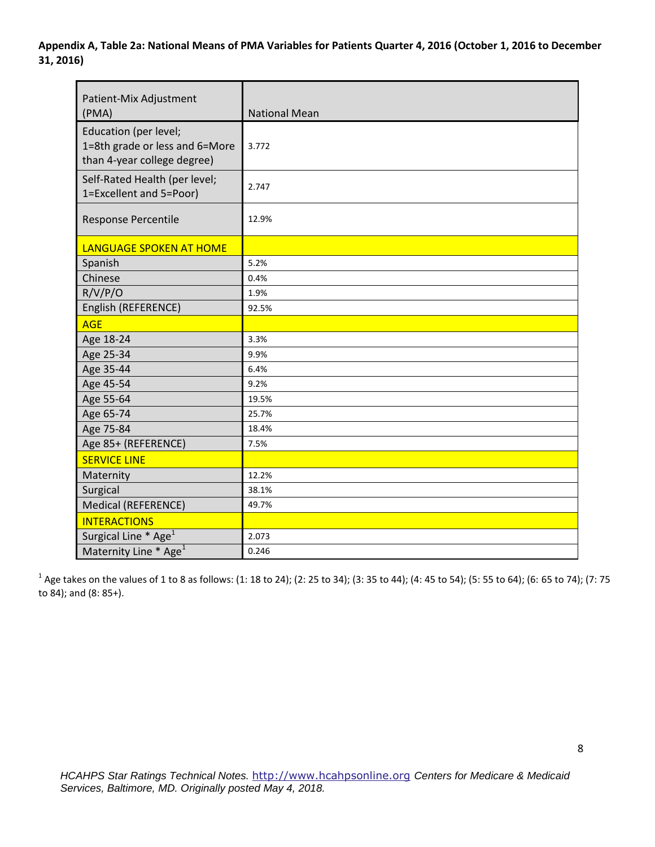**Appendix A, Table 2a: National Means of PMA Variables for Patients Quarter 4, 2016 (October 1, 2016 to December 31, 2016)** 

| Patient-Mix Adjustment<br>(PMA)                                                        | <b>National Mean</b> |
|----------------------------------------------------------------------------------------|----------------------|
| Education (per level;<br>1=8th grade or less and 6=More<br>than 4-year college degree) | 3.772                |
| Self-Rated Health (per level;<br>1=Excellent and 5=Poor)                               | 2.747                |
| Response Percentile                                                                    | 12.9%                |
| LANGUAGE SPOKEN AT HOME                                                                |                      |
| Spanish                                                                                | 5.2%                 |
| Chinese                                                                                | 0.4%                 |
| R/V/P/O                                                                                | 1.9%                 |
| English (REFERENCE)                                                                    | 92.5%                |
| <b>AGE</b>                                                                             |                      |
| Age 18-24                                                                              | 3.3%                 |
| Age 25-34                                                                              | 9.9%                 |
| Age 35-44                                                                              | 6.4%                 |
| Age 45-54                                                                              | 9.2%                 |
| Age 55-64                                                                              | 19.5%                |
| Age 65-74                                                                              | 25.7%                |
| Age 75-84                                                                              | 18.4%                |
| Age 85+ (REFERENCE)                                                                    | 7.5%                 |
| <b>SERVICE LINE</b>                                                                    |                      |
| Maternity                                                                              | 12.2%                |
| Surgical                                                                               | 38.1%                |
| <b>Medical (REFERENCE)</b>                                                             | 49.7%                |
| <b>INTERACTIONS</b>                                                                    |                      |
| Surgical Line * Age <sup>1</sup>                                                       | 2.073                |
| Maternity Line * Age <sup>1</sup>                                                      | 0.246                |

 $^1$  Age takes on the values of 1 to 8 as follows: (1: 18 to 24); (2: 25 to 34); (3: 35 to 44); (4: 45 to 54); (5: 55 to 64); (6: 65 to 74); (7: 75 to 84); and (8: 85+).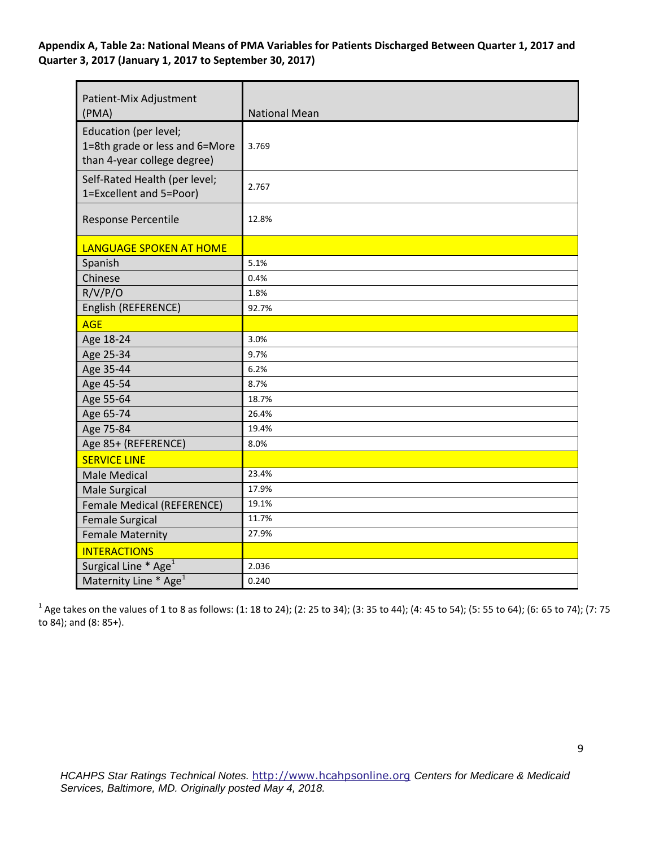**Appendix A, Table 2a: National Means of PMA Variables for Patients Discharged Between Quarter 1, 2017 and Quarter 3, 2017 (January 1, 2017 to September 30, 2017)** 

| Patient-Mix Adjustment<br>(PMA)                                                        | <b>National Mean</b> |
|----------------------------------------------------------------------------------------|----------------------|
| Education (per level;<br>1=8th grade or less and 6=More<br>than 4-year college degree) | 3.769                |
| Self-Rated Health (per level;<br>1=Excellent and 5=Poor)                               | 2.767                |
| Response Percentile                                                                    | 12.8%                |
| <b>LANGUAGE SPOKEN AT HOME</b>                                                         |                      |
| Spanish                                                                                | 5.1%                 |
| Chinese                                                                                | 0.4%                 |
| R/V/P/O                                                                                | 1.8%                 |
| English (REFERENCE)                                                                    | 92.7%                |
| <b>AGE</b>                                                                             |                      |
| Age 18-24                                                                              | 3.0%                 |
| Age 25-34                                                                              | 9.7%                 |
| Age 35-44                                                                              | 6.2%                 |
| Age 45-54                                                                              | 8.7%                 |
| Age 55-64                                                                              | 18.7%                |
| Age 65-74                                                                              | 26.4%                |
| Age 75-84                                                                              | 19.4%                |
| Age 85+ (REFERENCE)                                                                    | 8.0%                 |
| <b>SERVICE LINE</b>                                                                    |                      |
| <b>Male Medical</b>                                                                    | 23.4%                |
| Male Surgical                                                                          | 17.9%                |
| Female Medical (REFERENCE)                                                             | 19.1%                |
| <b>Female Surgical</b>                                                                 | 11.7%                |
| <b>Female Maternity</b>                                                                | 27.9%                |
| <b>INTERACTIONS</b>                                                                    |                      |
| Surgical Line * Age <sup>1</sup>                                                       | 2.036                |
| Maternity Line * Age <sup>1</sup>                                                      | 0.240                |

 $^1$  Age takes on the values of 1 to 8 as follows: (1: 18 to 24); (2: 25 to 34); (3: 35 to 44); (4: 45 to 54); (5: 55 to 64); (6: 65 to 74); (7: 75 to 84); and (8: 85+).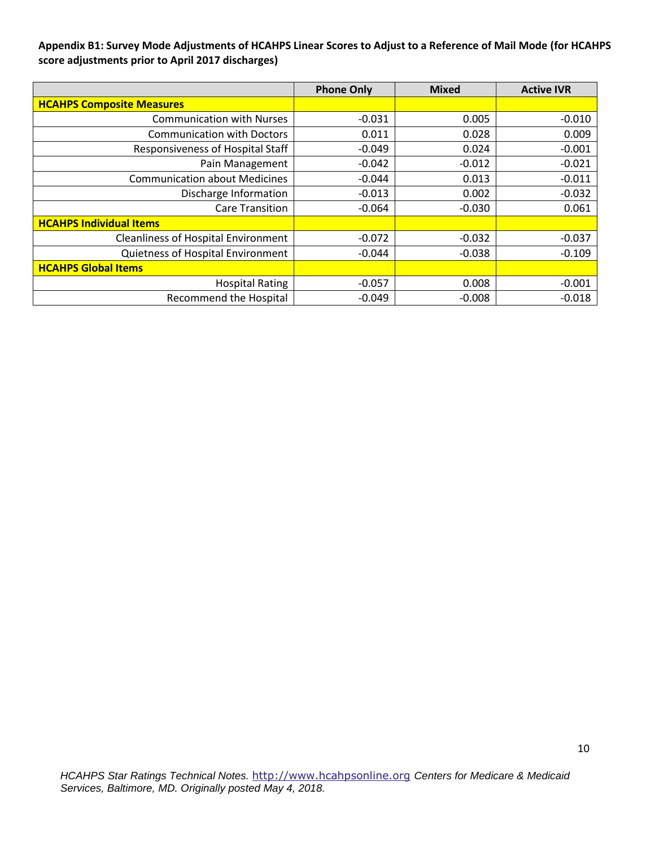## **Appendix B1: Survey Mode Adjustments of HCAHPS Linear Scores to Adjust to a Reference of Mail Mode (for HCAHPS score adjustments prior to April 2017 discharges)**

|                                            | <b>Phone Only</b> | <b>Mixed</b> | <b>Active IVR</b> |
|--------------------------------------------|-------------------|--------------|-------------------|
| <b>HCAHPS Composite Measures</b>           |                   |              |                   |
| <b>Communication with Nurses</b>           | $-0.031$          | 0.005        | $-0.010$          |
| <b>Communication with Doctors</b>          | 0.011             | 0.028        | 0.009             |
| <b>Responsiveness of Hospital Staff</b>    | $-0.049$          | 0.024        | $-0.001$          |
| Pain Management                            | $-0.042$          | $-0.012$     | $-0.021$          |
| <b>Communication about Medicines</b>       | $-0.044$          | 0.013        | $-0.011$          |
| Discharge Information                      | $-0.013$          | 0.002        | $-0.032$          |
| <b>Care Transition</b>                     | $-0.064$          | $-0.030$     | 0.061             |
| <b>HCAHPS Individual Items</b>             |                   |              |                   |
| <b>Cleanliness of Hospital Environment</b> | $-0.072$          | $-0.032$     | $-0.037$          |
| Quietness of Hospital Environment          | $-0.044$          | $-0.038$     | $-0.109$          |
| <b>HCAHPS Global Items</b>                 |                   |              |                   |
| <b>Hospital Rating</b>                     | $-0.057$          | 0.008        | $-0.001$          |
| <b>Recommend the Hospital</b>              | $-0.049$          | $-0.008$     | $-0.018$          |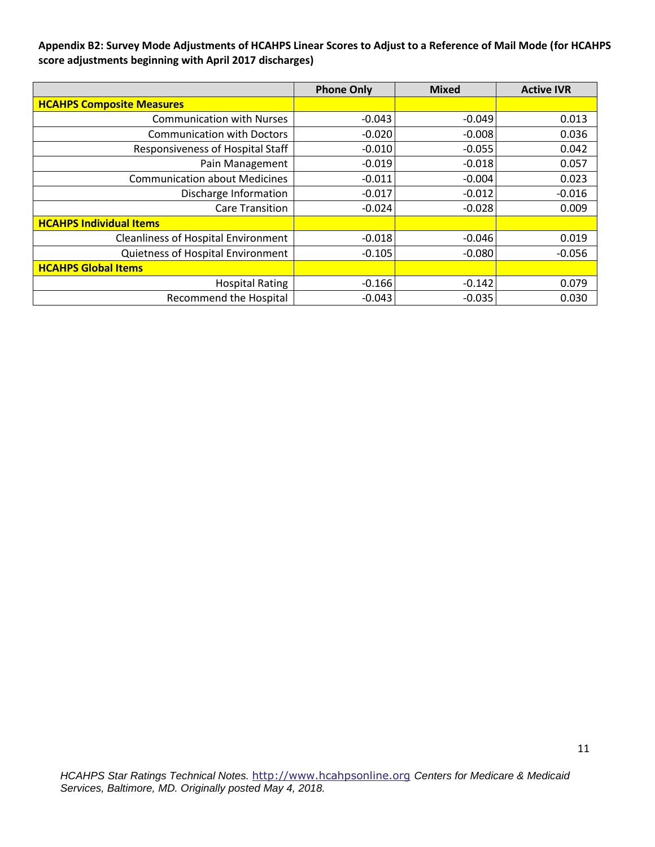**Appendix B2: Survey Mode Adjustments of HCAHPS Linear Scores to Adjust to a Reference of Mail Mode (for HCAHPS score adjustments beginning with April 2017 discharges)** 

|                                            | <b>Phone Only</b> | <b>Mixed</b> | <b>Active IVR</b> |
|--------------------------------------------|-------------------|--------------|-------------------|
| <b>HCAHPS Composite Measures</b>           |                   |              |                   |
| <b>Communication with Nurses</b>           | $-0.043$          | $-0.049$     | 0.013             |
| <b>Communication with Doctors</b>          | $-0.020$          | $-0.008$     | 0.036             |
| <b>Responsiveness of Hospital Staff</b>    | $-0.010$          | $-0.055$     | 0.042             |
| Pain Management                            | $-0.019$          | $-0.018$     | 0.057             |
| <b>Communication about Medicines</b>       | $-0.011$          | $-0.004$     | 0.023             |
| Discharge Information                      | $-0.017$          | $-0.012$     | $-0.016$          |
| <b>Care Transition</b>                     | $-0.024$          | $-0.028$     | 0.009             |
| <b>HCAHPS Individual Items</b>             |                   |              |                   |
| <b>Cleanliness of Hospital Environment</b> | $-0.018$          | $-0.046$     | 0.019             |
| Quietness of Hospital Environment          | $-0.105$          | $-0.080$     | $-0.056$          |
| <b>HCAHPS Global Items</b>                 |                   |              |                   |
| <b>Hospital Rating</b>                     | $-0.166$          | $-0.142$     | 0.079             |
| Recommend the Hospital                     | $-0.043$          | $-0.035$     | 0.030             |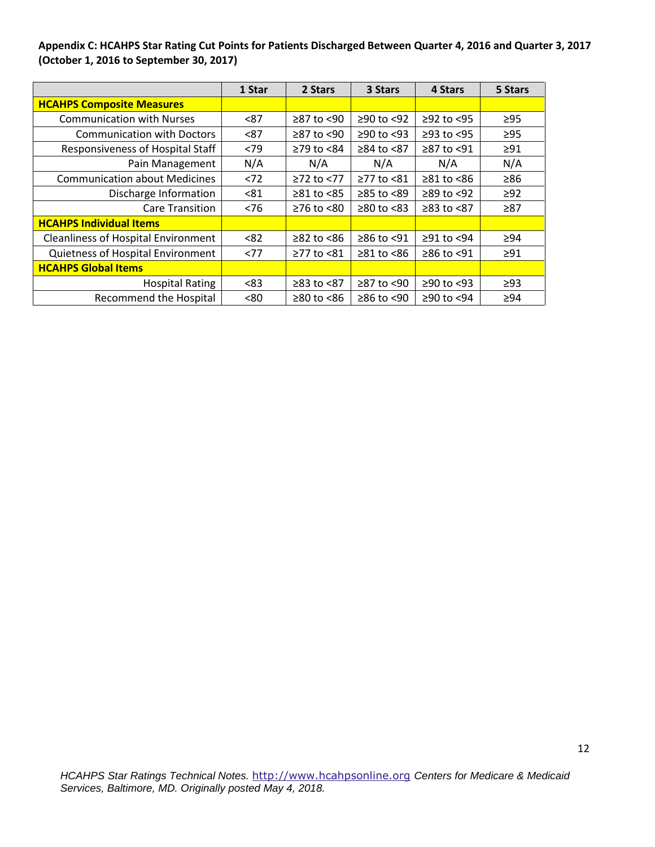## **Appendix C: HCAHPS Star Rating Cut Points for Patients Discharged Between Quarter 4, 2016 and Quarter 3, 2017 (October 1, 2016 to September 30, 2017)**

|                                            | 1 Star | 2 Stars          | 3 Stars          | 4 Stars          | 5 Stars   |
|--------------------------------------------|--------|------------------|------------------|------------------|-----------|
| <b>HCAHPS Composite Measures</b>           |        |                  |                  |                  |           |
| <b>Communication with Nurses</b>           | < 87   | $\geq$ 87 to <90 | $≥90$ to <92     | $≥92$ to <95     | $\geq$ 95 |
| <b>Communication with Doctors</b>          | < 87   | $\geq$ 87 to <90 | $≥90$ to <93     | $≥93$ to <95     | $\geq$ 95 |
| Responsiveness of Hospital Staff           | <79    | ≥79 to <84       | ≥84 to <87       | ≥87 to <91       | $\geq 91$ |
| Pain Management                            | N/A    | N/A              | N/A              | N/A              | N/A       |
| <b>Communication about Medicines</b>       | < 72   | ≥72 to <77       | ≥77 to <81       | $\geq 81$ to <86 | $\geq 86$ |
| Discharge Information                      | < 81   | $\geq 81$ to <85 | $\geq 85$ to <89 | $\geq$ 89 to <92 | $\geq$ 92 |
| <b>Care Transition</b>                     | < 76   | $≥76$ to $≤80$   | $\geq 80$ to <83 | ≥83 to <87       | $\geq 87$ |
| <b>HCAHPS Individual Items</b>             |        |                  |                  |                  |           |
| <b>Cleanliness of Hospital Environment</b> | < 82   | $≥82$ to $≤86$   | $≥86$ to <91     | $≥91$ to $<94$   | >94       |
| Quietness of Hospital Environment          | <77    | $\geq$ 77 to <81 | $\geq 81$ to <86 | ≥86 to <91       | $\geq 91$ |
| <b>HCAHPS Global Items</b>                 |        |                  |                  |                  |           |
| <b>Hospital Rating</b>                     | < 83   | $≥83$ to $≤87$   | $≥87$ to <90     | $≥90$ to <93     | ≥93       |
| <b>Recommend the Hospital</b>              | <80    | $\geq 80$ to <86 | $≥86$ to <90     | ≥90 to <94       | $\geq 94$ |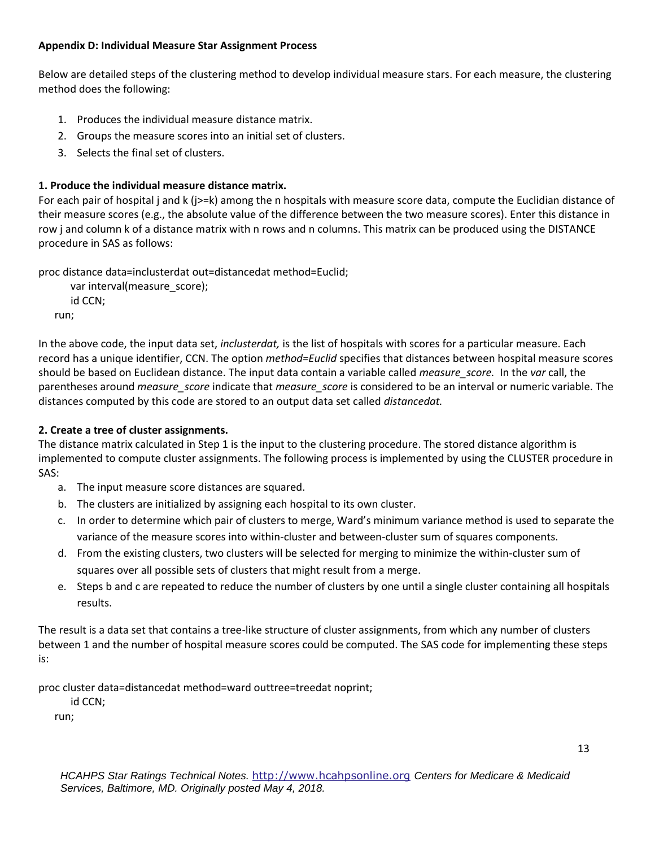## **Appendix D: Individual Measure Star Assignment Process**

Below are detailed steps of the clustering method to develop individual measure stars. For each measure, the clustering method does the following:

- 1. Produces the individual measure distance matrix.
- 2. Groups the measure scores into an initial set of clusters.
- 3. Selects the final set of clusters.

# **1. Produce the individual measure distance matrix.**

For each pair of hospital j and k (j>=k) among the n hospitals with measure score data, compute the Euclidian distance of their measure scores (e.g., the absolute value of the difference between the two measure scores). Enter this distance in row j and column k of a distance matrix with n rows and n columns. This matrix can be produced using the DISTANCE procedure in SAS as follows:

proc distance data=inclusterdat out=distancedat method=Euclid;

```
 var interval(measure_score);
   id CCN;
run;
```
In the above code, the input data set, *inclusterdat,* is the list of hospitals with scores for a particular measure. Each record has a unique identifier, CCN. The option *method=Euclid* specifies that distances between hospital measure scores should be based on Euclidean distance. The input data contain a variable called *measure\_score.* In the *var* call, the parentheses around *measure\_score* indicate that *measure\_score* is considered to be an interval or numeric variable. The distances computed by this code are stored to an output data set called *distancedat.* 

# **2. Create a tree of cluster assignments.**

The distance matrix calculated in Step 1 is the input to the clustering procedure. The stored distance algorithm is implemented to compute cluster assignments. The following process is implemented by using the CLUSTER procedure in SAS:

- a. The input measure score distances are squared.
- b. The clusters are initialized by assigning each hospital to its own cluster.
- c. In order to determine which pair of clusters to merge, Ward's minimum variance method is used to separate the variance of the measure scores into within-cluster and between-cluster sum of squares components.
- d. From the existing clusters, two clusters will be selected for merging to minimize the within-cluster sum of squares over all possible sets of clusters that might result from a merge.
- e. Steps b and c are repeated to reduce the number of clusters by one until a single cluster containing all hospitals results.

The result is a data set that contains a tree-like structure of cluster assignments, from which any number of clusters between 1 and the number of hospital measure scores could be computed. The SAS code for implementing these steps is:

proc cluster data=distancedat method=ward outtree=treedat noprint;

id CCN;

run;